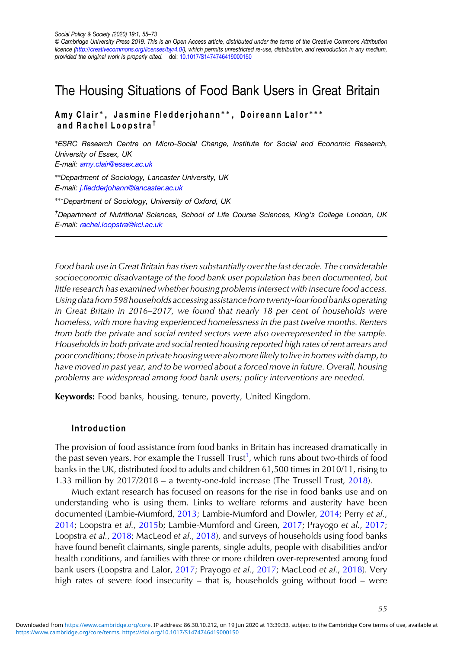# The Housing Situations of Food Bank Users in Great Britain

# Amy Clair <sup>∗</sup> , Jasmine Fledderjohann ∗ ∗ , Doireann Lalor ∗∗∗ and Rachel Loopstra †

∗ESRC Research Centre on Micro-Social Change, Institute for Social and Economic Research, University of Essex, UK E-mail: [amy.clair@essex.ac.uk](mailto:amy.clair@essex.ac.uk)

∗∗Department of Sociology, Lancaster University, UK E-mail: j.fl[edderjohann@lancaster.ac.uk](mailto:j.fledderjohann@lancaster.ac.uk)

∗∗∗Department of Sociology, University of Oxford, UK

<sup>†</sup>Department of Nutritional Sciences, School of Life Course Sciences, King's College London, UK E-mail: [rachel.loopstra@kcl.ac.uk](mailto:rachel.loopstra@kcl.ac.uk)

Food bank use in Great Britain has risen substantially over the last decade. The considerable socioeconomic disadvantage of the food bank user population has been documented, but little research has examined whether housing problems intersect with insecure food access. Using datafrom 598 households accessing assistancefromtwenty-fourfood banks operating in Great Britain in 2016–2017, we found that nearly 18 per cent of households were homeless, with more having experienced homelessness in the past twelve months. Renters from both the private and social rented sectors were also overrepresented in the sample. Households in both private and social rented housing reported high rates of rent arrears and poor conditions; those in private housing were also more likely to live in homes with damp, to have moved in past year, and to be worried about a forced move in future. Overall, housing problems are widespread among food bank users; policy interventions are needed.

Keywords: Food banks, housing, tenure, poverty, United Kingdom.

# Introduction

The provision of food assistance from food banks in Britain has increased dramatically in the past seven years. For example the Trussell Trust<sup>1</sup>, which runs about two-thirds of food banks in the UK, distributed food to adults and children 61,500 times in 2010/11, rising to 1.33 million by 2017/2018 – a twenty-one-fold increase (The Trussell Trust, [2018\)](#page-18-0).

Much extant research has focused on reasons for the rise in food banks use and on understanding who is using them. Links to welfare reforms and austerity have been documented (Lambie-Mumford, [2013;](#page-17-0) Lambie-Mumford and Dowler, [2014](#page-17-0); Perry et al., [2014](#page-18-0); Loopstra et al., [2015b](#page-17-0); Lambie-Mumford and Green, [2017](#page-17-0); Prayogo et al., [2017](#page-18-0); Loopstra et al., [2018;](#page-17-0) MacLeod et al., [2018](#page-17-0)), and surveys of households using food banks have found benefit claimants, single parents, single adults, people with disabilities and/or health conditions, and families with three or more children over-represented among food bank users (Loopstra and Lalor, [2017;](#page-17-0) Prayogo et al., [2017](#page-18-0); MacLeod et al., [2018](#page-17-0)). Very high rates of severe food insecurity – that is, households going without food – were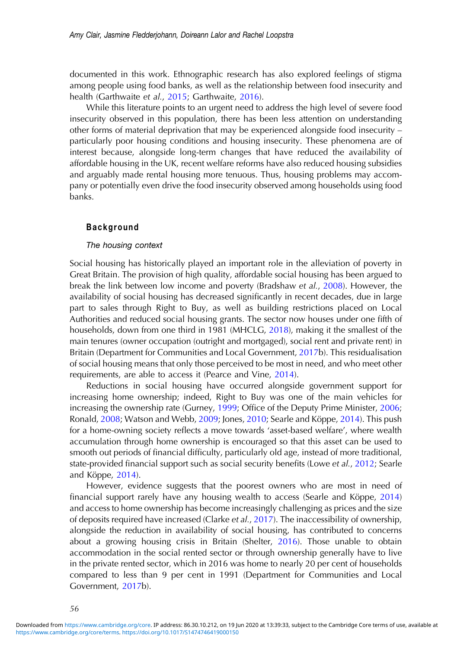documented in this work. Ethnographic research has also explored feelings of stigma among people using food banks, as well as the relationship between food insecurity and health (Garthwaite et al., [2015;](#page-16-0) Garthwaite, [2016\)](#page-16-0).

While this literature points to an urgent need to address the high level of severe food insecurity observed in this population, there has been less attention on understanding other forms of material deprivation that may be experienced alongside food insecurity – particularly poor housing conditions and housing insecurity. These phenomena are of interest because, alongside long-term changes that have reduced the availability of affordable housing in the UK, recent welfare reforms have also reduced housing subsidies and arguably made rental housing more tenuous. Thus, housing problems may accompany or potentially even drive the food insecurity observed among households using food banks.

## Background

## The housing context

Social housing has historically played an important role in the alleviation of poverty in Great Britain. The provision of high quality, affordable social housing has been argued to break the link between low income and poverty (Bradshaw et al., [2008\)](#page-15-0). However, the availability of social housing has decreased significantly in recent decades, due in large part to sales through Right to Buy, as well as building restrictions placed on Local Authorities and reduced social housing grants. The sector now houses under one fifth of households, down from one third in 1981 (MHCLG, [2018](#page-17-0)), making it the smallest of the main tenures (owner occupation (outright and mortgaged), social rent and private rent) in Britain (Department for Communities and Local Government, [2017b](#page-16-0)). This residualisation of social housing means that only those perceived to be most in need, and who meet other requirements, are able to access it (Pearce and Vine, [2014\)](#page-18-0).

Reductions in social housing have occurred alongside government support for increasing home ownership; indeed, Right to Buy was one of the main vehicles for increasing the ownership rate (Gurney, [1999;](#page-16-0) Office of the Deputy Prime Minister, [2006](#page-17-0); Ronald, [2008;](#page-18-0) Watson and Webb, [2009;](#page-18-0) Jones, [2010](#page-17-0); Searle and Köppe, [2014](#page-18-0)). This push for a home-owning society reflects a move towards 'asset-based welfare', where wealth accumulation through home ownership is encouraged so that this asset can be used to smooth out periods of financial difficulty, particularly old age, instead of more traditional, state-provided financial support such as social security benefits (Lowe et al., [2012](#page-17-0); Searle and Köppe, [2014](#page-18-0)).

However, evidence suggests that the poorest owners who are most in need of financial support rarely have any housing wealth to access (Searle and Köppe, [2014](#page-18-0)) and access to home ownership has become increasingly challenging as prices and the size of deposits required have increased (Clarke et al., [2017](#page-15-0)). The inaccessibility of ownership, alongside the reduction in availability of social housing, has contributed to concerns about a growing housing crisis in Britain (Shelter, [2016](#page-18-0)). Those unable to obtain accommodation in the social rented sector or through ownership generally have to live in the private rented sector, which in 2016 was home to nearly 20 per cent of households compared to less than 9 per cent in 1991 (Department for Communities and Local Government, [2017b](#page-16-0)).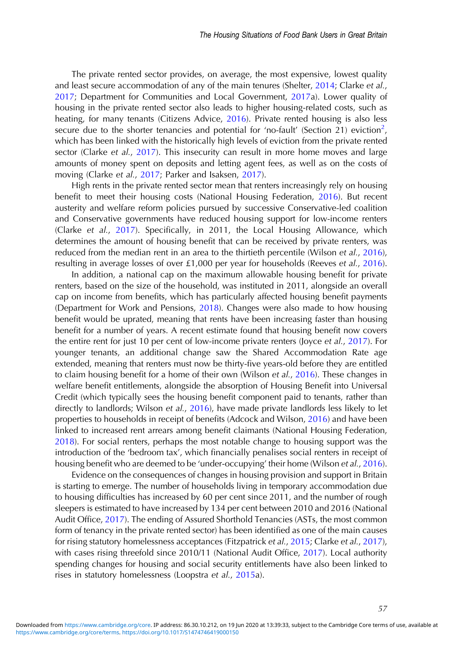The private rented sector provides, on average, the most expensive, lowest quality and least secure accommodation of any of the main tenures (Shelter, [2014](#page-18-0); Clarke et al., [2017](#page-15-0); Department for Communities and Local Government, [2017](#page-16-0)a). Lower quality of housing in the private rented sector also leads to higher housing-related costs, such as heating, for many tenants (Citizens Advice, [2016\)](#page-15-0). Private rented housing is also less secure due to the shorter tenancies and potential for 'no-fault' (Section 21) eviction<sup>2</sup>, which has been linked with the historically high levels of eviction from the private rented sector (Clarke et al., [2017](#page-15-0)). This insecurity can result in more home moves and large amounts of money spent on deposits and letting agent fees, as well as on the costs of moving (Clarke et al., [2017;](#page-15-0) Parker and Isaksen, [2017](#page-18-0)).

High rents in the private rented sector mean that renters increasingly rely on housing benefit to meet their housing costs (National Housing Federation, [2016\)](#page-17-0). But recent austerity and welfare reform policies pursued by successive Conservative-led coalition and Conservative governments have reduced housing support for low-income renters (Clarke et al., [2017](#page-15-0)). Specifically, in 2011, the Local Housing Allowance, which determines the amount of housing benefit that can be received by private renters, was reduced from the median rent in an area to the thirtieth percentile (Wilson et al., [2016\)](#page-18-0). resulting in average losses of over £1,000 per year for households (Reeves et al., [2016\)](#page-18-0).

In addition, a national cap on the maximum allowable housing benefit for private renters, based on the size of the household, was instituted in 2011, alongside an overall cap on income from benefits, which has particularly affected housing benefit payments (Department for Work and Pensions, [2018](#page-16-0)). Changes were also made to how housing benefit would be uprated, meaning that rents have been increasing faster than housing benefit for a number of years. A recent estimate found that housing benefit now covers the entire rent for just 10 per cent of low-income private renters (Joyce et al., [2017\)](#page-17-0). For younger tenants, an additional change saw the Shared Accommodation Rate age extended, meaning that renters must now be thirty-five years-old before they are entitled to claim housing benefit for a home of their own (Wilson et al., [2016\)](#page-18-0). These changes in welfare benefit entitlements, alongside the absorption of Housing Benefit into Universal Credit (which typically sees the housing benefit component paid to tenants, rather than directly to landlords; Wilson et al., [2016\)](#page-18-0), have made private landlords less likely to let properties to households in receipt of benefits (Adcock and Wilson, [2016\)](#page-15-0) and have been linked to increased rent arrears among benefit claimants (National Housing Federation, [2018](#page-17-0)). For social renters, perhaps the most notable change to housing support was the introduction of the 'bedroom tax', which financially penalises social renters in receipt of housing benefit who are deemed to be 'under-occupying' their home (Wilson et al., [2016\)](#page-18-0).

Evidence on the consequences of changes in housing provision and support in Britain is starting to emerge. The number of households living in temporary accommodation due to housing difficulties has increased by 60 per cent since 2011, and the number of rough sleepers is estimated to have increased by 134 per cent between 2010 and 2016 (National Audit Office, [2017](#page-17-0)). The ending of Assured Shorthold Tenancies (ASTs, the most common form of tenancy in the private rented sector) has been identified as one of the main causes for rising statutory homelessness acceptances (Fitzpatrick et al., [2015;](#page-16-0) Clarke et al., [2017\)](#page-15-0), with cases rising threefold since 2010/11 (National Audit Office, [2017](#page-17-0)). Local authority spending changes for housing and social security entitlements have also been linked to rises in statutory homelessness (Loopstra et al., [2015a](#page-17-0)).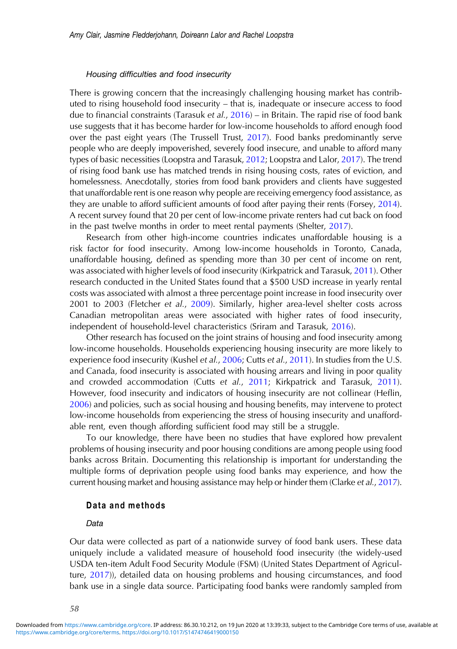## Housing difficulties and food insecurity

There is growing concern that the increasingly challenging housing market has contributed to rising household food insecurity – that is, inadequate or insecure access to food due to financial constraints (Tarasuk et al.,  $2016$ ) – in Britain. The rapid rise of food bank use suggests that it has become harder for low-income households to afford enough food over the past eight years (The Trussell Trust, [2017\)](#page-18-0). Food banks predominantly serve people who are deeply impoverished, severely food insecure, and unable to afford many types of basic necessities (Loopstra and Tarasuk, [2012](#page-17-0); Loopstra and Lalor, [2017](#page-17-0)). The trend of rising food bank use has matched trends in rising housing costs, rates of eviction, and homelessness. Anecdotally, stories from food bank providers and clients have suggested that unaffordable rent is one reason why people are receiving emergency food assistance, as they are unable to afford sufficient amounts of food after paying their rents (Forsey, [2014\)](#page-16-0). A recent survey found that 20 per cent of low-income private renters had cut back on food in the past twelve months in order to meet rental payments (Shelter, [2017\)](#page-18-0).

Research from other high-income countries indicates unaffordable housing is a risk factor for food insecurity. Among low-income households in Toronto, Canada, unaffordable housing, defined as spending more than 30 per cent of income on rent, was associated with higher levels of food insecurity (Kirkpatrick and Tarasuk, [2011](#page-17-0)). Other research conducted in the United States found that a \$500 USD increase in yearly rental costs was associated with almost a three percentage point increase in food insecurity over 2001 to 2003 (Fletcher et al., [2009](#page-16-0)). Similarly, higher area-level shelter costs across Canadian metropolitan areas were associated with higher rates of food insecurity, independent of household-level characteristics (Sriram and Tarasuk, [2016\)](#page-18-0).

Other research has focused on the joint strains of housing and food insecurity among low-income households. Households experiencing housing insecurity are more likely to experience food insecurity (Kushel et al., [2006](#page-17-0); Cutts et al., [2011\)](#page-16-0). In studies from the U.S. and Canada, food insecurity is associated with housing arrears and living in poor quality and crowded accommodation (Cutts et al., [2011;](#page-16-0) Kirkpatrick and Tarasuk, [2011\)](#page-17-0). However, food insecurity and indicators of housing insecurity are not collinear (Heflin, [2006](#page-16-0)) and policies, such as social housing and housing benefits, may intervene to protect low-income households from experiencing the stress of housing insecurity and unaffordable rent, even though affording sufficient food may still be a struggle.

To our knowledge, there have been no studies that have explored how prevalent problems of housing insecurity and poor housing conditions are among people using food banks across Britain. Documenting this relationship is important for understanding the multiple forms of deprivation people using food banks may experience, and how the current housing market and housing assistance may help or hinder them (Clarke et al., [2017\)](#page-15-0).

# Data and methods

#### Data

Our data were collected as part of a nationwide survey of food bank users. These data uniquely include a validated measure of household food insecurity (the widely-used USDA ten-item Adult Food Security Module (FSM) (United States Department of Agriculture, [2017](#page-18-0))), detailed data on housing problems and housing circumstances, and food bank use in a single data source. Participating food banks were randomly sampled from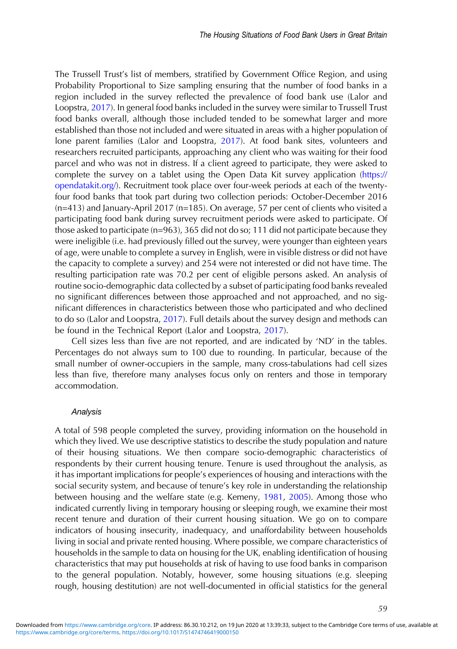The Trussell Trust's list of members, stratified by Government Office Region, and using Probability Proportional to Size sampling ensuring that the number of food banks in a region included in the survey reflected the prevalence of food bank use (Lalor and Loopstra, [2017](#page-17-0)). In general food banks included in the survey were similar to Trussell Trust food banks overall, although those included tended to be somewhat larger and more established than those not included and were situated in areas with a higher population of lone parent families (Lalor and Loopstra, [2017\)](#page-17-0). At food bank sites, volunteers and researchers recruited participants, approaching any client who was waiting for their food parcel and who was not in distress. If a client agreed to participate, they were asked to complete the survey on a tablet using the Open Data Kit survey application ([https://](https://opendatakit.org/) [opendatakit.org/](https://opendatakit.org/)). Recruitment took place over four-week periods at each of the twentyfour food banks that took part during two collection periods: October-December 2016 (n=413) and January-April 2017 (n=185). On average, 57 per cent of clients who visited a participating food bank during survey recruitment periods were asked to participate. Of those asked to participate (n=963), 365 did not do so; 111 did not participate because they were ineligible (i.e. had previously filled out the survey, were younger than eighteen years of age, were unable to complete a survey in English, were in visible distress or did not have the capacity to complete a survey) and 254 were not interested or did not have time. The resulting participation rate was 70.2 per cent of eligible persons asked. An analysis of routine socio-demographic data collected by a subset of participating food banks revealed no significant differences between those approached and not approached, and no significant differences in characteristics between those who participated and who declined to do so (Lalor and Loopstra, [2017](#page-17-0)). Full details about the survey design and methods can be found in the Technical Report (Lalor and Loopstra, [2017](#page-17-0)).

Cell sizes less than five are not reported, and are indicated by 'ND' in the tables. Percentages do not always sum to 100 due to rounding. In particular, because of the small number of owner-occupiers in the sample, many cross-tabulations had cell sizes less than five, therefore many analyses focus only on renters and those in temporary accommodation.

# Analysis

A total of 598 people completed the survey, providing information on the household in which they lived. We use descriptive statistics to describe the study population and nature of their housing situations. We then compare socio-demographic characteristics of respondents by their current housing tenure. Tenure is used throughout the analysis, as it has important implications for people's experiences of housing and interactions with the social security system, and because of tenure's key role in understanding the relationship between housing and the welfare state (e.g. Kemeny, [1981,](#page-17-0) [2005\)](#page-17-0). Among those who indicated currently living in temporary housing or sleeping rough, we examine their most recent tenure and duration of their current housing situation. We go on to compare indicators of housing insecurity, inadequacy, and unaffordability between households living in social and private rented housing. Where possible, we compare characteristics of households in the sample to data on housing for the UK, enabling identification of housing characteristics that may put households at risk of having to use food banks in comparison to the general population. Notably, however, some housing situations (e.g. sleeping rough, housing destitution) are not well-documented in official statistics for the general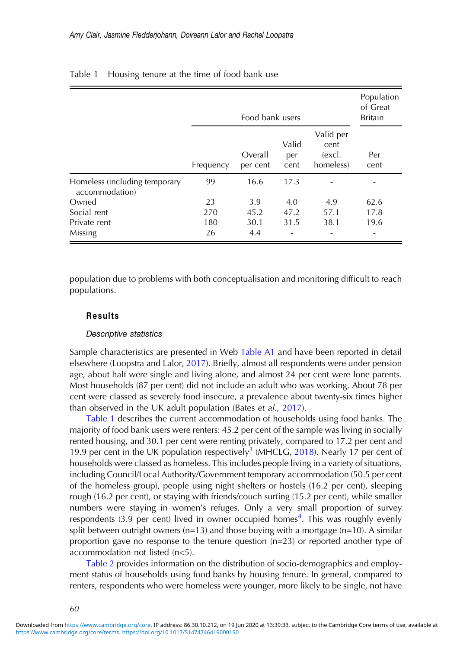|                                                 | Food bank users |                     |                      |                                          | Population<br>of Great<br><b>Britain</b> |
|-------------------------------------------------|-----------------|---------------------|----------------------|------------------------------------------|------------------------------------------|
|                                                 | Frequency       | Overall<br>per cent | Valid<br>per<br>cent | Valid per<br>cent<br>(excl.<br>homeless) | Per<br>cent                              |
| Homeless (including temporary<br>accommodation) | 99              | 16.6                | 17.3                 |                                          |                                          |
| Owned                                           | 23              | 3.9                 | 4.0                  | 4.9                                      | 62.6                                     |
| Social rent                                     | 270             | 45.2                | 47.2                 | 57.1                                     | 17.8                                     |
| Private rent                                    | 180             | 30.1                | 31.5                 | 38.1                                     | 19.6                                     |
| Missing                                         | 26              | 4.4                 | -                    |                                          | $\overline{\phantom{a}}$                 |

# <span id="page-5-0"></span>Table 1 Housing tenure at the time of food bank use

population due to problems with both conceptualisation and monitoring difficult to reach populations.

# Results

## Descriptive statistics

Sample characteristics are presented in Web [Table A1](https://doi.org/10.1017/S1474746419000150) and have been reported in detail elsewhere (Loopstra and Lalor, [2017](#page-17-0)). Briefly, almost all respondents were under pension age, about half were single and living alone, and almost 24 per cent were lone parents. Most households (87 per cent) did not include an adult who was working. About 78 per cent were classed as severely food insecure, a prevalence about twenty-six times higher than observed in the UK adult population (Bates et al., [2017\)](#page-15-0).

Table 1 describes the current accommodation of households using food banks. The majority of food bank users were renters: 45.2 per cent of the sample was living in socially rented housing, and 30.1 per cent were renting privately, compared to 17.2 per cent and 19.9 per cent in the UK population respectively<sup>3</sup> (MHCLG, [2018\)](#page-17-0). Nearly 17 per cent of households were classed as homeless. This includes people living in a variety of situations, including Council/Local Authority/Government temporary accommodation (50.5 per cent of the homeless group), people using night shelters or hostels (16.2 per cent), sleeping rough (16.2 per cent), or staying with friends/couch surfing (15.2 per cent), while smaller numbers were staying in women's refuges. Only a very small proportion of survey respondents (3.9 per cent) lived in owner occupied homes<sup>4</sup>. This was roughly evenly split between outright owners (n=13) and those buying with a mortgage (n=10). A similar proportion gave no response to the tenure question (n=23) or reported another type of accommodation not listed (n<5).

[Table 2](#page-7-0) provides information on the distribution of socio-demographics and employment status of households using food banks by housing tenure. In general, compared to renters, respondents who were homeless were younger, more likely to be single, not have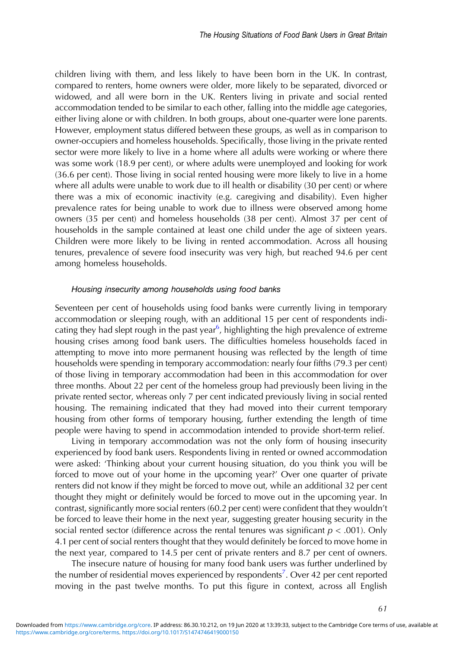children living with them, and less likely to have been born in the UK. In contrast, compared to renters, home owners were older, more likely to be separated, divorced or widowed, and all were born in the UK. Renters living in private and social rented accommodation tended to be similar to each other, falling into the middle age categories, either living alone or with children. In both groups, about one-quarter were lone parents. However, employment status differed between these groups, as well as in comparison to owner-occupiers and homeless households. Specifically, those living in the private rented sector were more likely to live in a home where all adults were working or where there was some work (18.9 per cent), or where adults were unemployed and looking for work (36.6 per cent). Those living in social rented housing were more likely to live in a home where all adults were unable to work due to ill health or disability (30 per cent) or where there was a mix of economic inactivity (e.g. caregiving and disability). Even higher prevalence rates for being unable to work due to illness were observed among home owners (35 per cent) and homeless households (38 per cent). Almost 37 per cent of households in the sample contained at least one child under the age of sixteen years. Children were more likely to be living in rented accommodation. Across all housing tenures, prevalence of severe food insecurity was very high, but reached 94.6 per cent among homeless households.

## Housing insecurity among households using food banks

Seventeen per cent of households using food banks were currently living in temporary accommodation or sleeping rough, with an additional 15 per cent of respondents indicating they had slept rough in the past year<sup>6</sup>, highlighting the high prevalence of extreme housing crises among food bank users. The difficulties homeless households faced in attempting to move into more permanent housing was reflected by the length of time households were spending in temporary accommodation: nearly four fifths (79.3 per cent) of those living in temporary accommodation had been in this accommodation for over three months. About 22 per cent of the homeless group had previously been living in the private rented sector, whereas only 7 per cent indicated previously living in social rented housing. The remaining indicated that they had moved into their current temporary housing from other forms of temporary housing, further extending the length of time people were having to spend in accommodation intended to provide short-term relief.

Living in temporary accommodation was not the only form of housing insecurity experienced by food bank users. Respondents living in rented or owned accommodation were asked: 'Thinking about your current housing situation, do you think you will be forced to move out of your home in the upcoming year?' Over one quarter of private renters did not know if they might be forced to move out, while an additional 32 per cent thought they might or definitely would be forced to move out in the upcoming year. In contrast, significantly more social renters (60.2 per cent) were confident that they wouldn't be forced to leave their home in the next year, suggesting greater housing security in the social rented sector (difference across the rental tenures was significant  $p < .001$ ). Only 4.1 per cent of social renters thought that they would definitely be forced to move home in the next year, compared to 14.5 per cent of private renters and 8.7 per cent of owners.

The insecure nature of housing for many food bank users was further underlined by the number of residential moves experienced by respondents<sup>7</sup>. Over 42 per cent reported moving in the past twelve months. To put this figure in context, across all English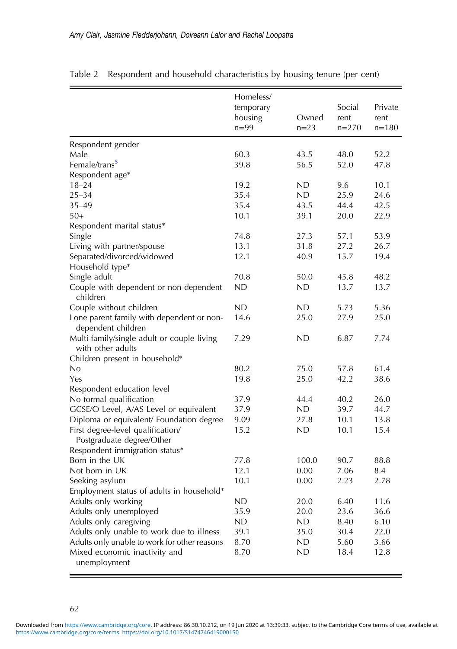|                                              | Homeless/<br>temporary<br>housing | Owned  | Social<br>rent | Private<br>rent |
|----------------------------------------------|-----------------------------------|--------|----------------|-----------------|
|                                              | $n=99$                            | $n=23$ | $n=270$        | $n = 180$       |
| Respondent gender                            |                                   |        |                |                 |
| Male                                         | 60.3                              | 43.5   | 48.0           | 52.2            |
| Female/trans <sup>5</sup>                    | 39.8                              | 56.5   | 52.0           | 47.8            |
| Respondent age*                              |                                   |        |                |                 |
| $18 - 24$                                    | 19.2                              | ND     | 9.6            | 10.1            |
| $25 - 34$                                    | 35.4                              | ND     | 25.9           | 24.6            |
| $35 - 49$                                    | 35.4                              | 43.5   | 44.4           | 42.5            |
| $50+$                                        | 10.1                              | 39.1   | 20.0           | 22.9            |
| Respondent marital status*                   |                                   |        |                |                 |
| Single                                       | 74.8                              | 27.3   | 57.1           | 53.9            |
| Living with partner/spouse                   | 13.1                              | 31.8   | 27.2           | 26.7            |
| Separated/divorced/widowed                   | 12.1                              | 40.9   | 15.7           | 19.4            |
| Household type*                              |                                   |        |                |                 |
| Single adult                                 | 70.8                              | 50.0   | 45.8           | 48.2            |
| Couple with dependent or non-dependent       | ND                                | ND     | 13.7           | 13.7            |
| children                                     |                                   |        |                |                 |
| Couple without children                      | ND                                | ND     | 5.73           | 5.36            |
| Lone parent family with dependent or non-    | 14.6                              | 25.0   | 27.9           | 25.0            |
| dependent children                           |                                   |        |                |                 |
| Multi-family/single adult or couple living   | 7.29                              | ND     | 6.87           | 7.74            |
| with other adults                            |                                   |        |                |                 |
| Children present in household*               |                                   |        |                |                 |
| No                                           | 80.2                              | 75.0   | 57.8           | 61.4            |
| Yes                                          | 19.8                              | 25.0   | 42.2           | 38.6            |
| Respondent education level                   |                                   |        |                |                 |
| No formal qualification                      | 37.9                              | 44.4   | 40.2           | 26.0            |
| GCSE/O Level, A/AS Level or equivalent       | 37.9                              | ND.    | 39.7           | 44.7            |
| Diploma or equivalent/ Foundation degree     | 9.09                              | 27.8   | 10.1           | 13.8            |
| First degree-level qualification/            | 15.2                              | ND     | 10.1           | 15.4            |
| Postgraduate degree/Other                    |                                   |        |                |                 |
| Respondent immigration status*               |                                   |        |                |                 |
| Born in the UK                               | 77.8                              | 100.0  | 90.7           | 88.8            |
| Not born in UK                               | 12.1                              | 0.00   | 7.06           | 8.4             |
| Seeking asylum                               | 10.1                              | 0.00   | 2.23           | 2.78            |
| Employment status of adults in household*    |                                   |        |                |                 |
| Adults only working                          | ND                                | 20.0   | 6.40           | 11.6            |
| Adults only unemployed                       | 35.9                              | 20.0   | 23.6           | 36.6            |
| Adults only caregiving                       | ND                                | ND     | 8.40           | 6.10            |
| Adults only unable to work due to illness    | 39.1                              | 35.0   | 30.4           | 22.0            |
| Adults only unable to work for other reasons | 8.70                              | ND     | 5.60           | 3.66            |
| Mixed economic inactivity and                | 8.70                              | ND     | 18.4           | 12.8            |
| unemployment                                 |                                   |        |                |                 |

<span id="page-7-0"></span>Table 2 Respondent and household characteristics by housing tenure (per cent)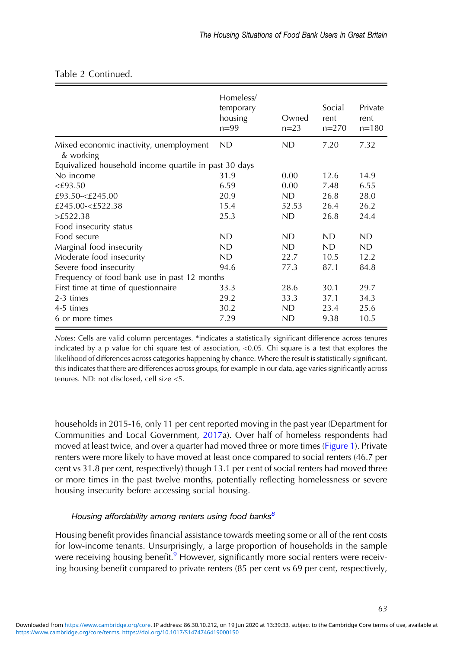|                                                       | Homeless/<br>temporary<br>housing<br>$n = 99$ | Owned<br>$n = 23$ | Social<br>rent<br>$n=270$ | Private<br>rent<br>$n = 180$ |  |  |
|-------------------------------------------------------|-----------------------------------------------|-------------------|---------------------------|------------------------------|--|--|
| Mixed economic inactivity, unemployment<br>& working  | ND                                            | ND                | 7.20                      | 7.32                         |  |  |
| Equivalized household income quartile in past 30 days |                                               |                   |                           |                              |  |  |
| No income                                             | 31.9                                          | 0.00              | 12.6                      | 14.9                         |  |  |
| $<$ £93.50                                            | 6.59                                          | 0.00              | 7.48                      | 6.55                         |  |  |
| £93.50-<£245.00                                       | 20.9                                          | <b>ND</b>         | 26.8                      | 28.0                         |  |  |
| £245.00-<£522.38                                      | 15.4                                          | 52.53             | 26.4                      | 26.2                         |  |  |
| >£522.38                                              | 25.3                                          | <b>ND</b>         | 26.8                      | 24.4                         |  |  |
| Food insecurity status                                |                                               |                   |                           |                              |  |  |
| Food secure                                           | <b>ND</b>                                     | <b>ND</b>         | ND.                       | ND.                          |  |  |
| Marginal food insecurity                              | ND                                            | <b>ND</b>         | ND.                       | ND                           |  |  |
| Moderate food insecurity                              | <b>ND</b>                                     | 22.7              | 10.5                      | 12.2                         |  |  |
| Severe food insecurity                                | 94.6                                          | 77.3              | 87.1                      | 84.8                         |  |  |
| Frequency of food bank use in past 12 months          |                                               |                   |                           |                              |  |  |
| First time at time of questionnaire                   | 33.3                                          | 28.6              | 30.1                      | 29.7                         |  |  |
| 2-3 times                                             | 29.2                                          | 33.3              | 37.1                      | 34.3                         |  |  |
| 4-5 times                                             | 30.2                                          | ND                | 23.4                      | 25.6                         |  |  |
| 6 or more times                                       | 7.29                                          | ND                | 9.38                      | 10.5                         |  |  |

# Table 2 Continued.

Notes: Cells are valid column percentages. \*indicates a statistically significant difference across tenures indicated by a p value for chi square test of association, <0.05. Chi square is a test that explores the likelihood of differences across categories happening by chance. Where the result is statistically significant, this indicates that there are differences across groups, for example in our data, age varies significantly across tenures. ND: not disclosed, cell size <5.

households in 2015-16, only 11 per cent reported moving in the past year (Department for Communities and Local Government, [2017](#page-16-0)a). Over half of homeless respondents had moved at least twice, and over a quarter had moved three or more times [\(Figure 1\)](#page-9-0). Private renters were more likely to have moved at least once compared to social renters (46.7 per cent vs 31.8 per cent, respectively) though 13.1 per cent of social renters had moved three or more times in the past twelve months, potentially reflecting homelessness or severe housing insecurity before accessing social housing.

# Housing affordability among renters using food banks<sup>8</sup>

Housing benefit provides financial assistance towards meeting some or all of the rent costs for low-income tenants. Unsurprisingly, a large proportion of households in the sample were receiving housing benefit.<sup>9</sup> However, significantly more social renters were receiving housing benefit compared to private renters (85 per cent vs 69 per cent, respectively,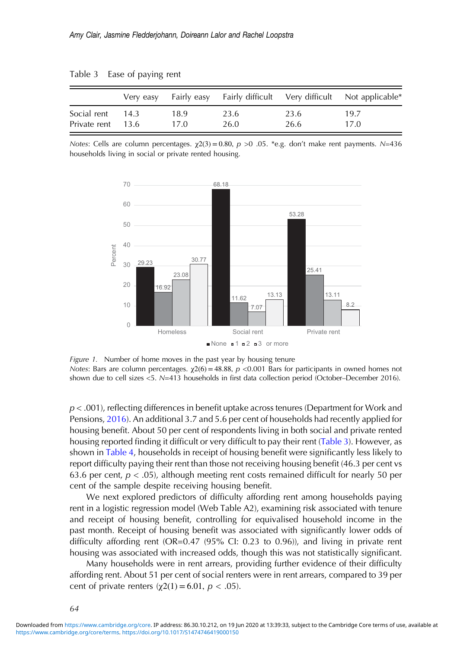|                   |      |      |      |      | Very easy Fairly easy Fairly difficult Very difficult Not applicable* |
|-------------------|------|------|------|------|-----------------------------------------------------------------------|
| Social rent       | 14.3 | 18.9 | 23.6 | 23.6 | 19.7                                                                  |
| Private rent 13.6 |      | 17.0 | 26.0 | 26.6 | 17.0                                                                  |

<span id="page-9-0"></span>Table 3 Ease of paying rent

Notes: Cells are column percentages.  $χ2(3) = 0.80$ ,  $p > 0.05$ . \*e.g. don't make rent payments. N=436 households living in social or private rented housing.



Figure 1. Number of home moves in the past year by housing tenure Notes: Bars are column percentages.  $χ2(6) = 48.88$ ,  $p < 0.001$  Bars for participants in owned homes not shown due to cell sizes <5. N=413 households in first data collection period (October–December 2016).

p < .001), reflecting differences in benefit uptake across tenures (Department for Work and Pensions, [2016](#page-16-0)). An additional 3.7 and 5.6 per cent of households had recently applied for housing benefit. About 50 per cent of respondents living in both social and private rented housing reported finding it difficult or very difficult to pay their rent (Table 3). However, as shown in [Table 4](#page-10-0), households in receipt of housing benefit were significantly less likely to report difficulty paying their rent than those not receiving housing benefit (46.3 per cent vs 63.6 per cent,  $p < .05$ ), although meeting rent costs remained difficult for nearly 50 per cent of the sample despite receiving housing benefit.

We next explored predictors of difficulty affording rent among households paying rent in a logistic regression model (Web Table A2), examining risk associated with tenure and receipt of housing benefit, controlling for equivalised household income in the past month. Receipt of housing benefit was associated with significantly lower odds of difficulty affording rent (OR=0.47 (95% CI: 0.23 to 0.96)), and living in private rent housing was associated with increased odds, though this was not statistically significant.

Many households were in rent arrears, providing further evidence of their difficulty affording rent. About 51 per cent of social renters were in rent arrears, compared to 39 per cent of private renters ( $χ2(1) = 6.01, p < .05$ ).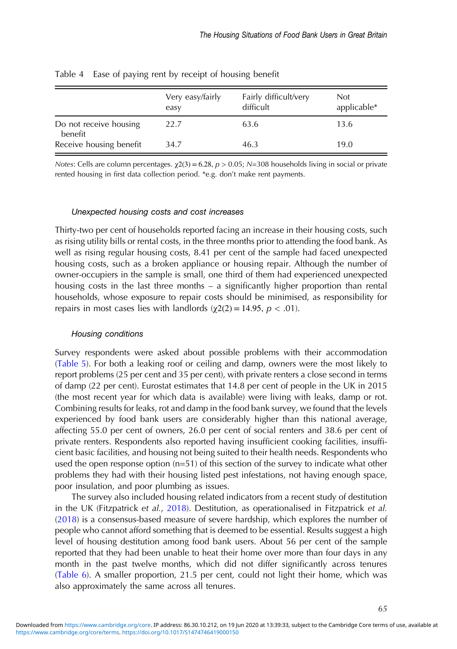|                                   | Very easy/fairly<br>easy | Fairly difficult/very<br>difficult | <b>Not</b><br>applicable* |
|-----------------------------------|--------------------------|------------------------------------|---------------------------|
| Do not receive housing<br>benefit | 22.7                     | 63.6                               | 13.6                      |
| Receive housing benefit           | 34.7                     | 46.3                               | 19.0                      |

<span id="page-10-0"></span>Table 4 Ease of paying rent by receipt of housing benefit

Notes: Cells are column percentages.  $\chi$ 2(3) = 6.28,  $p > 0.05$ ; N=308 households living in social or private rented housing in first data collection period. \*e.g. don't make rent payments.

#### Unexpected housing costs and cost increases

Thirty-two per cent of households reported facing an increase in their housing costs, such as rising utility bills or rental costs, in the three months prior to attending the food bank. As well as rising regular housing costs, 8.41 per cent of the sample had faced unexpected housing costs, such as a broken appliance or housing repair. Although the number of owner-occupiers in the sample is small, one third of them had experienced unexpected housing costs in the last three months – a significantly higher proportion than rental households, whose exposure to repair costs should be minimised, as responsibility for repairs in most cases lies with landlords  $(\gamma 2(2) = 14.95, p < .01)$ .

## Housing conditions

Survey respondents were asked about possible problems with their accommodation ([Table 5](#page-11-0)). For both a leaking roof or ceiling and damp, owners were the most likely to report problems (25 per cent and 35 per cent), with private renters a close second in terms of damp (22 per cent). Eurostat estimates that 14.8 per cent of people in the UK in 2015 (the most recent year for which data is available) were living with leaks, damp or rot. Combining results for leaks, rot and damp in the food bank survey, we found that the levels experienced by food bank users are considerably higher than this national average, affecting 55.0 per cent of owners, 26.0 per cent of social renters and 38.6 per cent of private renters. Respondents also reported having insufficient cooking facilities, insufficient basic facilities, and housing not being suited to their health needs. Respondents who used the open response option (n=51) of this section of the survey to indicate what other problems they had with their housing listed pest infestations, not having enough space, poor insulation, and poor plumbing as issues.

The survey also included housing related indicators from a recent study of destitution in the UK (Fitzpatrick et al., [2018](#page-16-0)). Destitution, as operationalised in Fitzpatrick et al. ([2018\)](#page-16-0) is a consensus-based measure of severe hardship, which explores the number of people who cannot afford something that is deemed to be essential. Results suggest a high level of housing destitution among food bank users. About 56 per cent of the sample reported that they had been unable to heat their home over more than four days in any month in the past twelve months, which did not differ significantly across tenures ([Table 6](#page-11-0)). A smaller proportion, 21.5 per cent, could not light their home, which was also approximately the same across all tenures.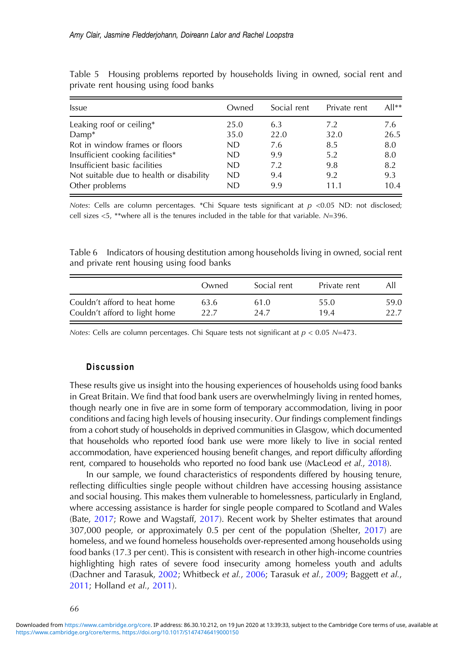| <i><u><b>Issue</b></u></i>               | Owned | Social rent | Private rent | $All**$ |
|------------------------------------------|-------|-------------|--------------|---------|
| Leaking roof or ceiling*                 | 25.0  | 6.3         | 7.2          | 7.6     |
| $Damp*$                                  | 35.0  | 22.0        | 32.0         | 26.5    |
| Rot in window frames or floors           | ND    | 7.6         | 8.5          | 8.0     |
| Insufficient cooking facilities*         | ND.   | 9.9         | 5.2          | 8.0     |
| Insufficient basic facilities            | ND    | 7.2         | 9.8          | 8.2     |
| Not suitable due to health or disability | ND    | 9.4         | 9.2          | 9.3     |
| Other problems                           | ND    | 9.9         | 11.1         | 10.4    |

<span id="page-11-0"></span>Table 5 Housing problems reported by households living in owned, social rent and private rent housing using food banks

Notes: Cells are column percentages. \*Chi Square tests significant at  $p < 0.05$  ND: not disclosed; cell sizes <5, \*\*where all is the tenures included in the table for that variable. N=396.

Table 6 Indicators of housing destitution among households living in owned, social rent and private rent housing using food banks

|                               | Owned | Social rent | Private rent | All  |
|-------------------------------|-------|-------------|--------------|------|
| Couldn't afford to heat home  | 63.6  | 61.0        | 55.0         | 59.0 |
| Couldn't afford to light home | 22.7  | 24.7        | 19.4         | 22.7 |

Notes: Cells are column percentages. Chi Square tests not significant at  $p < 0.05$  N=473.

# **Discussion**

These results give us insight into the housing experiences of households using food banks in Great Britain. We find that food bank users are overwhelmingly living in rented homes, though nearly one in five are in some form of temporary accommodation, living in poor conditions and facing high levels of housing insecurity. Our findings complement findings from a cohort study of households in deprived communities in Glasgow, which documented that households who reported food bank use were more likely to live in social rented accommodation, have experienced housing benefit changes, and report difficulty affording rent, compared to households who reported no food bank use (MacLeod et al., [2018\)](#page-17-0).

In our sample, we found characteristics of respondents differed by housing tenure, reflecting difficulties single people without children have accessing housing assistance and social housing. This makes them vulnerable to homelessness, particularly in England, where accessing assistance is harder for single people compared to Scotland and Wales (Bate, [2017;](#page-15-0) Rowe and Wagstaff, [2017\)](#page-18-0). Recent work by Shelter estimates that around 307,000 people, or approximately 0.5 per cent of the population (Shelter, [2017\)](#page-18-0) are homeless, and we found homeless households over-represented among households using food banks (17.3 per cent). This is consistent with research in other high-income countries highlighting high rates of severe food insecurity among homeless youth and adults (Dachner and Tarasuk, [2002](#page-16-0); Whitbeck et al., [2006](#page-18-0); Tarasuk et al., [2009;](#page-18-0) Baggett et al., [2011](#page-15-0); Holland et al., [2011\)](#page-16-0).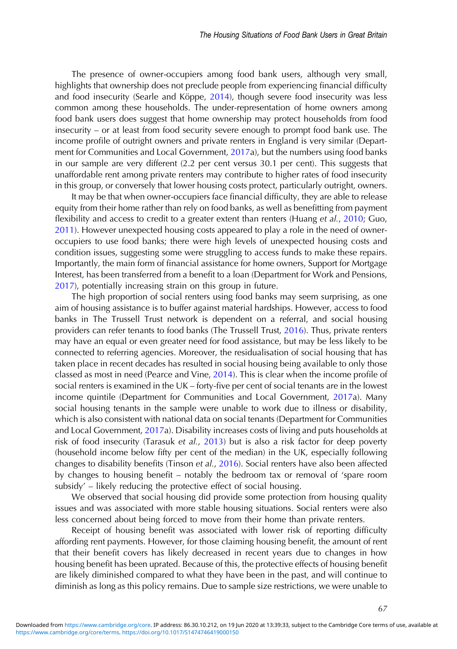The presence of owner-occupiers among food bank users, although very small, highlights that ownership does not preclude people from experiencing financial difficulty and food insecurity (Searle and Köppe, [2014\)](#page-18-0), though severe food insecurity was less common among these households. The under-representation of home owners among food bank users does suggest that home ownership may protect households from food insecurity – or at least from food security severe enough to prompt food bank use. The income profile of outright owners and private renters in England is very similar (Department for Communities and Local Government, [2017](#page-16-0)a), but the numbers using food banks in our sample are very different (2.2 per cent versus 30.1 per cent). This suggests that unaffordable rent among private renters may contribute to higher rates of food insecurity in this group, or conversely that lower housing costs protect, particularly outright, owners.

It may be that when owner-occupiers face financial difficulty, they are able to release equity from their home rather than rely on food banks, as well as benefitting from payment flexibility and access to credit to a greater extent than renters (Huang et al., [2010](#page-16-0); Guo, [2011](#page-16-0)). However unexpected housing costs appeared to play a role in the need of owneroccupiers to use food banks; there were high levels of unexpected housing costs and condition issues, suggesting some were struggling to access funds to make these repairs. Importantly, the main form of financial assistance for home owners, Support for Mortgage Interest, has been transferred from a benefit to a loan (Department for Work and Pensions, [2017](#page-16-0)), potentially increasing strain on this group in future.

The high proportion of social renters using food banks may seem surprising, as one aim of housing assistance is to buffer against material hardships. However, access to food banks in The Trussell Trust network is dependent on a referral, and social housing providers can refer tenants to food banks (The Trussell Trust, [2016\)](#page-18-0). Thus, private renters may have an equal or even greater need for food assistance, but may be less likely to be connected to referring agencies. Moreover, the residualisation of social housing that has taken place in recent decades has resulted in social housing being available to only those classed as most in need (Pearce and Vine, [2014](#page-18-0)). This is clear when the income profile of social renters is examined in the UK – forty-five per cent of social tenants are in the lowest income quintile (Department for Communities and Local Government, [2017a](#page-16-0)). Many social housing tenants in the sample were unable to work due to illness or disability, which is also consistent with national data on social tenants (Department for Communities and Local Government, [2017](#page-16-0)a). Disability increases costs of living and puts households at risk of food insecurity (Tarasuk et al., [2013](#page-18-0)) but is also a risk factor for deep poverty (household income below fifty per cent of the median) in the UK, especially following changes to disability benefits (Tinson et al., [2016](#page-18-0)). Social renters have also been affected by changes to housing benefit – notably the bedroom tax or removal of 'spare room subsidy' – likely reducing the protective effect of social housing.

We observed that social housing did provide some protection from housing quality issues and was associated with more stable housing situations. Social renters were also less concerned about being forced to move from their home than private renters.

Receipt of housing benefit was associated with lower risk of reporting difficulty affording rent payments. However, for those claiming housing benefit, the amount of rent that their benefit covers has likely decreased in recent years due to changes in how housing benefit has been uprated. Because of this, the protective effects of housing benefit are likely diminished compared to what they have been in the past, and will continue to diminish as long as this policy remains. Due to sample size restrictions, we were unable to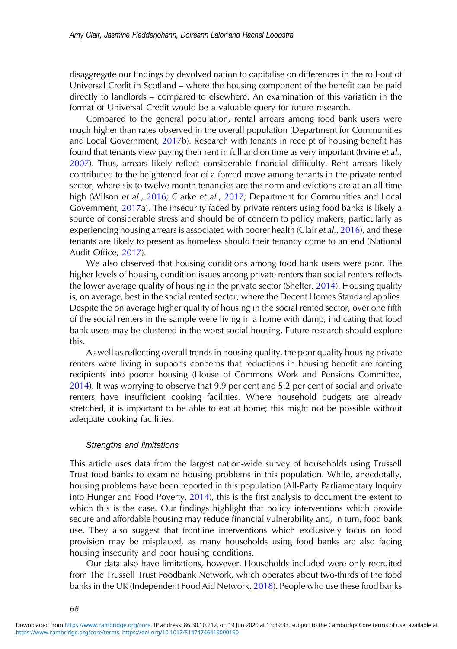disaggregate our findings by devolved nation to capitalise on differences in the roll-out of Universal Credit in Scotland – where the housing component of the benefit can be paid directly to landlords – compared to elsewhere. An examination of this variation in the format of Universal Credit would be a valuable query for future research.

Compared to the general population, rental arrears among food bank users were much higher than rates observed in the overall population (Department for Communities and Local Government, [2017](#page-16-0)b). Research with tenants in receipt of housing benefit has found that tenants view paying their rent in full and on time as very important (Irvine *et al.*, [2007](#page-16-0)). Thus, arrears likely reflect considerable financial difficulty. Rent arrears likely contributed to the heightened fear of a forced move among tenants in the private rented sector, where six to twelve month tenancies are the norm and evictions are at an all-time high (Wilson et al., [2016](#page-18-0); Clarke et al., [2017](#page-15-0); Department for Communities and Local Government, [2017](#page-16-0)a). The insecurity faced by private renters using food banks is likely a source of considerable stress and should be of concern to policy makers, particularly as experiencing housing arrears is associated with poorer health (Clair et  $al., 2016$ ), and these tenants are likely to present as homeless should their tenancy come to an end (National Audit Office, [2017\)](#page-17-0).

We also observed that housing conditions among food bank users were poor. The higher levels of housing condition issues among private renters than social renters reflects the lower average quality of housing in the private sector (Shelter, [2014](#page-18-0)). Housing quality is, on average, best in the social rented sector, where the Decent Homes Standard applies. Despite the on average higher quality of housing in the social rented sector, over one fifth of the social renters in the sample were living in a home with damp, indicating that food bank users may be clustered in the worst social housing. Future research should explore this.

As well as reflecting overall trends in housing quality, the poor quality housing private renters were living in supports concerns that reductions in housing benefit are forcing recipients into poorer housing (House of Commons Work and Pensions Committee, [2014](#page-16-0)). It was worrying to observe that 9.9 per cent and 5.2 per cent of social and private renters have insufficient cooking facilities. Where household budgets are already stretched, it is important to be able to eat at home; this might not be possible without adequate cooking facilities.

## Strengths and limitations

This article uses data from the largest nation-wide survey of households using Trussell Trust food banks to examine housing problems in this population. While, anecdotally, housing problems have been reported in this population (All-Party Parliamentary Inquiry into Hunger and Food Poverty, [2014\)](#page-15-0), this is the first analysis to document the extent to which this is the case. Our findings highlight that policy interventions which provide secure and affordable housing may reduce financial vulnerability and, in turn, food bank use. They also suggest that frontline interventions which exclusively focus on food provision may be misplaced, as many households using food banks are also facing housing insecurity and poor housing conditions.

Our data also have limitations, however. Households included were only recruited from The Trussell Trust Foodbank Network, which operates about two-thirds of the food banks in the UK (Independent Food Aid Network, [2018\)](#page-16-0). People who use these food banks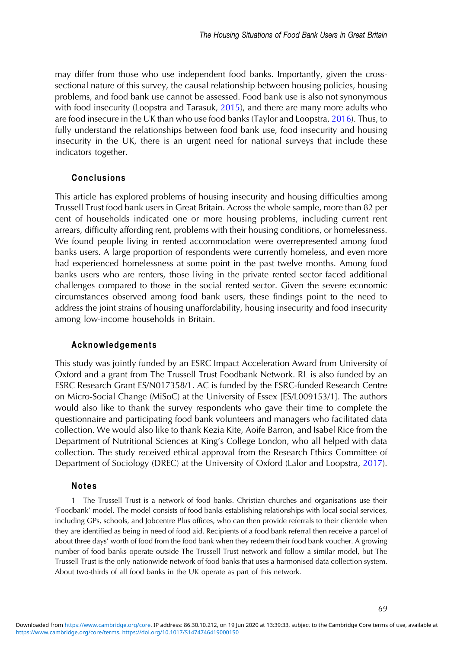may differ from those who use independent food banks. Importantly, given the crosssectional nature of this survey, the causal relationship between housing policies, housing problems, and food bank use cannot be assessed. Food bank use is also not synonymous with food insecurity (Loopstra and Tarasuk, [2015](#page-17-0)), and there are many more adults who are food insecure in the UK than who use food banks (Taylor and Loopstra, [2016\)](#page-18-0). Thus, to fully understand the relationships between food bank use, food insecurity and housing insecurity in the UK, there is an urgent need for national surveys that include these indicators together.

# Conclusions

This article has explored problems of housing insecurity and housing difficulties among Trussell Trust food bank users in Great Britain. Across the whole sample, more than 82 per cent of households indicated one or more housing problems, including current rent arrears, difficulty affording rent, problems with their housing conditions, or homelessness. We found people living in rented accommodation were overrepresented among food banks users. A large proportion of respondents were currently homeless, and even more had experienced homelessness at some point in the past twelve months. Among food banks users who are renters, those living in the private rented sector faced additional challenges compared to those in the social rented sector. Given the severe economic circumstances observed among food bank users, these findings point to the need to address the joint strains of housing unaffordability, housing insecurity and food insecurity among low-income households in Britain.

## Acknowledgements

This study was jointly funded by an ESRC Impact Acceleration Award from University of Oxford and a grant from The Trussell Trust Foodbank Network. RL is also funded by an ESRC Research Grant ES/N017358/1. AC is funded by the ESRC-funded Research Centre on Micro-Social Change (MiSoC) at the University of Essex [ES/L009153/1]. The authors would also like to thank the survey respondents who gave their time to complete the questionnaire and participating food bank volunteers and managers who facilitated data collection. We would also like to thank Kezia Kite, Aoife Barron, and Isabel Rice from the Department of Nutritional Sciences at King's College London, who all helped with data collection. The study received ethical approval from the Research Ethics Committee of Department of Sociology (DREC) at the University of Oxford (Lalor and Loopstra, [2017\)](#page-17-0).

## Notes

1 The Trussell Trust is a network of food banks. Christian churches and organisations use their 'Foodbank' model. The model consists of food banks establishing relationships with local social services, including GPs, schools, and Jobcentre Plus offices, who can then provide referrals to their clientele when they are identified as being in need of food aid. Recipients of a food bank referral then receive a parcel of about three days' worth of food from the food bank when they redeem their food bank voucher. A growing number of food banks operate outside The Trussell Trust network and follow a similar model, but The Trussell Trust is the only nationwide network of food banks that uses a harmonised data collection system. About two-thirds of all food banks in the UK operate as part of this network.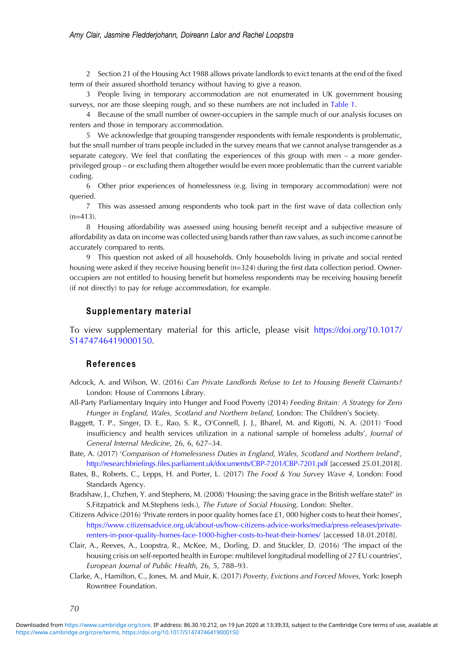## <span id="page-15-0"></span>Amy Clair, Jasmine Fledderjohann, Doireann Lalor and Rachel Loopstra

2 Section 21 of the Housing Act 1988 allows private landlords to evict tenants at the end of the fixed term of their assured shorthold tenancy without having to give a reason.

3 People living in temporary accommodation are not enumerated in UK government housing surveys, nor are those sleeping rough, and so these numbers are not included in [Table 1](#page-5-0).

4 Because of the small number of owner-occupiers in the sample much of our analysis focuses on renters and those in temporary accommodation.

5 We acknowledge that grouping transgender respondents with female respondents is problematic, but the small number of trans people included in the survey means that we cannot analyse transgender as a separate category. We feel that conflating the experiences of this group with men – a more genderprivileged group – or excluding them altogether would be even more problematic than the current variable coding.

6 Other prior experiences of homelessness (e.g. living in temporary accommodation) were not queried.

7 This was assessed among respondents who took part in the first wave of data collection only  $(n=413)$ .

8 Housing affordability was assessed using housing benefit receipt and a subjective measure of affordability as data on income was collected using bands rather than raw values, as such income cannot be accurately compared to rents.

9 This question not asked of all households. Only households living in private and social rented housing were asked if they receive housing benefit (n=324) during the first data collection period. Owneroccupiers are not entitled to housing benefit but homeless respondents may be receiving housing benefit (if not directly) to pay for refuge accommodation, for example.

## Supplementary material

To view supplementary material for this article, please visit [https://doi.org/10.1017/](https://doi.org/10.1017/S1474746419000150) [S1474746419000150](https://doi.org/10.1017/S1474746419000150).

# References

- Adcock, A. and Wilson, W. (2016) Can Private Landlords Refuse to Let to Housing Benefit Claimants? London: House of Commons Library.
- All-Party Parliamentary Inquiry into Hunger and Food Poverty (2014) Feeding Britain: A Strategy for Zero Hunger in England, Wales, Scotland and Northern Ireland, London: The Children's Society.
- Baggett, T. P., Singer, D. E., Rao, S. R., O'Connell, J. J., Bharel, M. and Rigotti, N. A. (2011) 'Food insufficiency and health services utilization in a national sample of homeless adults', Journal of General Internal Medicine, 26, 6, 627–34.
- Bate, A. (2017) 'Comparison of Homelessness Duties in England, Wales, Scotland and Northern Ireland', http://researchbriefings.fi[les.parliament.uk/documents/CBP-7201/CBP-7201.pdf](http://researchbriefings.files.parliament.uk/documents/CBP-7201/CBP-7201.pdf) [accessed 25.01.2018].
- Bates, B., Roberts, C., Lepps, H. and Porter, L. (2017) The Food & You Survey Wave 4, London: Food Standards Agency.
- Bradshaw, J., Chzhen, Y. and Stephens, M. (2008) 'Housing: the saving grace in the British welfare state?' in S.Fitzpatrick and M.Stephens (eds.), The Future of Social Housing, London: Shelter.
- Citizens Advice (2016) 'Private renters in poor quality homes face £1, 000 higher costs to heat their homes', [https://www.citizensadvice.org.uk/about-us/how-citizens-advice-works/media/press-releases/private](https://www.citizensadvice.org.uk/about-us/how-citizens-advice-works/media/press-releases/private-renters-in-poor-quality-homes-face-1000-higher-costs-to-heat-their-homes/)[renters-in-poor-quality-homes-face-1000-higher-costs-to-heat-their-homes/](https://www.citizensadvice.org.uk/about-us/how-citizens-advice-works/media/press-releases/private-renters-in-poor-quality-homes-face-1000-higher-costs-to-heat-their-homes/) [accessed 18.01.2018].
- Clair, A., Reeves, A., Loopstra, R., McKee, M., Dorling, D. and Stuckler, D. (2016) 'The impact of the housing crisis on self-reported health in Europe: multilevel longitudinal modelling of 27 EU countries', European Journal of Public Health, 26, 5, 788–93.
- Clarke, A., Hamilton, C., Jones, M. and Muir, K. (2017) Poverty, Evictions and Forced Moves, York: Joseph Rowntree Foundation.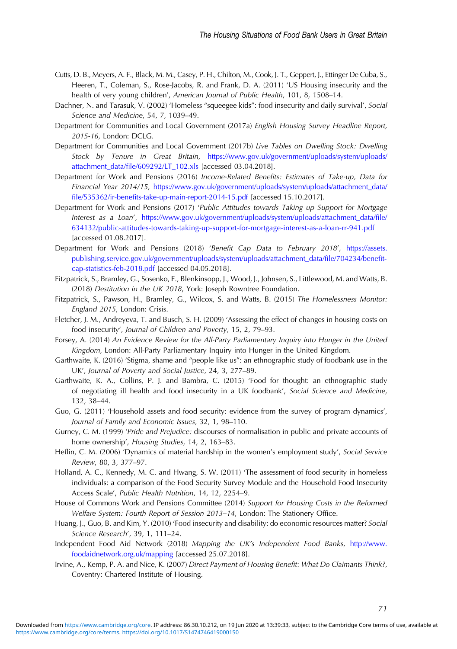- <span id="page-16-0"></span>Cutts, D. B., Meyers, A. F., Black, M. M., Casey, P. H., Chilton, M., Cook, J. T., Geppert, J., Ettinger De Cuba, S., Heeren, T., Coleman, S., Rose-Jacobs, R. and Frank, D. A. (2011) 'US Housing insecurity and the health of very young children', American Journal of Public Health, 101, 8, 1508–14.
- Dachner, N. and Tarasuk, V. (2002) 'Homeless "squeegee kids": food insecurity and daily survival', Social Science and Medicine, 54, 7, 1039–49.
- Department for Communities and Local Government (2017a) English Housing Survey Headline Report, 2015-16, London: DCLG.
- Department for Communities and Local Government (2017b) Live Tables on Dwelling Stock: Dwelling Stock by Tenure in Great Britain, [https://www.gov.uk/government/uploads/system/uploads/](https://www.gov.uk/government/uploads/system/uploads/attachment_data/file/609292/LT_102.xls) attachment\_data/fi[le/609292/LT\\_102.xls](https://www.gov.uk/government/uploads/system/uploads/attachment_data/file/609292/LT_102.xls) [accessed 03.04.2018].
- Department for Work and Pensions (2016) Income-Related Benefits: Estimates of Take-up, Data for Financial Year 2014/15, [https://www.gov.uk/government/uploads/system/uploads/attachment\\_data/](https://www.gov.uk/government/uploads/system/uploads/attachment_data/file/535362/ir-benefits-take-up-main-report-2014-15.pdf) file/535362/ir-benefi[ts-take-up-main-report-2014-15.pdf](https://www.gov.uk/government/uploads/system/uploads/attachment_data/file/535362/ir-benefits-take-up-main-report-2014-15.pdf) [accessed 15.10.2017].
- Department for Work and Pensions (2017) 'Public Attitudes towards Taking up Support for Mortgage Interest as a Loan', [https://www.gov.uk/government/uploads/system/uploads/attachment\\_data/](https://www.gov.uk/government/uploads/system/uploads/attachment_data/file/634132/public-attitudes-towards-taking-up-support-for-mortgage-interest-as-a-loan-rr-941.pdf)file/ [634132/public-attitudes-towards-taking-up-support-for-mortgage-interest-as-a-loan-rr-941.pdf](https://www.gov.uk/government/uploads/system/uploads/attachment_data/file/634132/public-attitudes-towards-taking-up-support-for-mortgage-interest-as-a-loan-rr-941.pdf) [accessed 01.08.2017].
- Department for Work and Pensions (2018) 'Benefit Cap Data to February 2018', [https://assets.](https://assets.publishing.service.gov.uk/government/uploads/system/uploads/attachment_data/file/704234/benefit-cap-statistics-feb-2018.pdf) [publishing.service.gov.uk/government/uploads/system/uploads/attachment\\_data/](https://assets.publishing.service.gov.uk/government/uploads/system/uploads/attachment_data/file/704234/benefit-cap-statistics-feb-2018.pdf)file/704234/benefit[cap-statistics-feb-2018.pdf](https://assets.publishing.service.gov.uk/government/uploads/system/uploads/attachment_data/file/704234/benefit-cap-statistics-feb-2018.pdf) [accessed 04.05.2018].
- Fitzpatrick, S., Bramley, G., Sosenko, F., Blenkinsopp, J., Wood, J., Johnsen, S., Littlewood, M. and Watts, B. (2018) Destitution in the UK 2018, York: Joseph Rowntree Foundation.
- Fitzpatrick, S., Pawson, H., Bramley, G., Wilcox, S. and Watts, B. (2015) The Homelessness Monitor: England 2015, London: Crisis.
- Fletcher, J. M., Andreyeva, T. and Busch, S. H. (2009) 'Assessing the effect of changes in housing costs on food insecurity', Journal of Children and Poverty, 15, 2, 79–93.
- Forsey, A. (2014) An Evidence Review for the All-Party Parliamentary Inquiry into Hunger in the United Kingdom, London: All-Party Parliamentary Inquiry into Hunger in the United Kingdom.
- Garthwaite, K. (2016) 'Stigma, shame and "people like us": an ethnographic study of foodbank use in the UK', Journal of Poverty and Social Justice, 24, 3, 277–89.
- Garthwaite, K. A., Collins, P. J. and Bambra, C. (2015) 'Food for thought: an ethnographic study of negotiating ill health and food insecurity in a UK foodbank', Social Science and Medicine, 132, 38–44.
- Guo, G. (2011) 'Household assets and food security: evidence from the survey of program dynamics', Journal of Family and Economic Issues, 32, 1, 98–110.
- Gurney, C. M. (1999) 'Pride and Prejudice: discourses of normalisation in public and private accounts of home ownership', Housing Studies, 14, 2, 163–83.
- Heflin, C. M. (2006) 'Dynamics of material hardship in the women's employment study', Social Service Review, 80, 3, 377–97.
- Holland, A. C., Kennedy, M. C. and Hwang, S. W. (2011) 'The assessment of food security in homeless individuals: a comparison of the Food Security Survey Module and the Household Food Insecurity Access Scale', Public Health Nutrition, 14, 12, 2254–9.
- House of Commons Work and Pensions Committee (2014) Support for Housing Costs in the Reformed Welfare System: Fourth Report of Session 2013–14, London: The Stationery Office.
- Huang, J., Guo, B. and Kim, Y. (2010) 'Food insecurity and disability: do economic resources matter? Social Science Research', 39, 1, 111–24.
- Independent Food Aid Network (2018) Mapping the UK's Independent Food Banks, [http://www.](http://www.foodaidnetwork.org.uk/mapping) [foodaidnetwork.org.uk/mapping](http://www.foodaidnetwork.org.uk/mapping) [accessed 25.07.2018].
- Irvine, A., Kemp, P. A. and Nice, K. (2007) Direct Payment of Housing Benefit: What Do Claimants Think?, Coventry: Chartered Institute of Housing.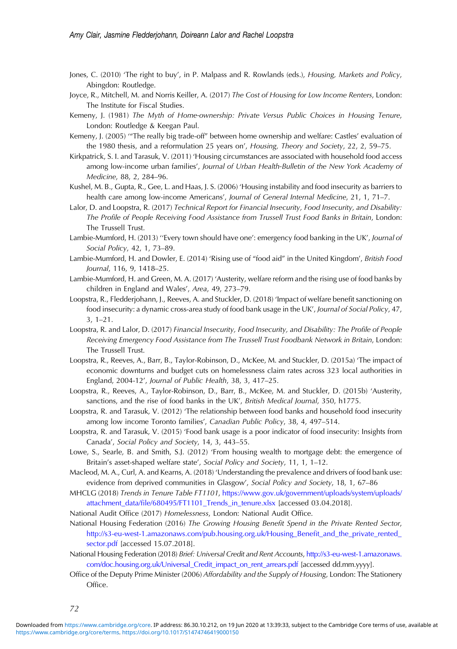- <span id="page-17-0"></span>Jones, C. (2010) 'The right to buy', in P. Malpass and R. Rowlands (eds.), Housing, Markets and Policy, Abingdon: Routledge.
- Joyce, R., Mitchell, M. and Norris Keiller, A. (2017) The Cost of Housing for Low Income Renters, London: The Institute for Fiscal Studies.
- Kemeny, J. (1981) The Myth of Home-ownership: Private Versus Public Choices in Housing Tenure, London: Routledge & Keegan Paul.
- Kemeny, J. (2005) '"The really big trade-off" between home ownership and welfare: Castles' evaluation of the 1980 thesis, and a reformulation 25 years on', Housing, Theory and Society, 22, 2, 59–75.
- Kirkpatrick, S. I. and Tarasuk, V. (2011) 'Housing circumstances are associated with household food access among low-income urban families', Journal of Urban Health-Bulletin of the New York Academy of Medicine, 88, 2, 284–96.
- Kushel, M. B., Gupta, R., Gee, L. and Haas, J. S. (2006) 'Housing instability and food insecurity as barriers to health care among low-income Americans', Journal of General Internal Medicine, 21, 1, 71–7.
- Lalor, D. and Loopstra, R. (2017) Technical Report for Financial Insecurity, Food Insecurity, and Disability: The Profile of People Receiving Food Assistance from Trussell Trust Food Banks in Britain, London: The Trussell Trust.
- Lambie-Mumford, H. (2013) "Every town should have one': emergency food banking in the UK', Journal of Social Policy, 42, 1, 73–89.
- Lambie-Mumford, H. and Dowler, E. (2014) 'Rising use of "food aid" in the United Kingdom', British Food Journal, 116, 9, 1418–25.
- Lambie-Mumford, H. and Green, M. A. (2017) 'Austerity, welfare reform and the rising use of food banks by children in England and Wales', Area, 49, 273–79.
- Loopstra, R., Fledderjohann, J., Reeves, A. and Stuckler, D. (2018) 'Impact of welfare benefit sanctioning on food insecurity: a dynamic cross-area study of food bank usage in the UK', Journal of Social Policy, 47, 3, 1–21.
- Loopstra, R. and Lalor, D. (2017) Financial Insecurity, Food Insecurity, and Disability: The Profile of People Receiving Emergency Food Assistance from The Trussell Trust Foodbank Network in Britain, London: The Trussell Trust.
- Loopstra, R., Reeves, A., Barr, B., Taylor-Robinson, D., McKee, M. and Stuckler, D. (2015a) 'The impact of economic downturns and budget cuts on homelessness claim rates across 323 local authorities in England, 2004-12', Journal of Public Health, 38, 3, 417–25.
- Loopstra, R., Reeves, A., Taylor-Robinson, D., Barr, B., McKee, M. and Stuckler, D. (2015b) 'Austerity, sanctions, and the rise of food banks in the UK', British Medical Journal, 350, h1775.
- Loopstra, R. and Tarasuk, V. (2012) 'The relationship between food banks and household food insecurity among low income Toronto families', Canadian Public Policy, 38, 4, 497–514.
- Loopstra, R. and Tarasuk, V. (2015) 'Food bank usage is a poor indicator of food insecurity: Insights from Canada', Social Policy and Society, 14, 3, 443–55.
- Lowe, S., Searle, B. and Smith, S.J. (2012) 'From housing wealth to mortgage debt: the emergence of Britain's asset-shaped welfare state', Social Policy and Society, 11, 1, 1–12.
- Macleod, M. A., Curl, A. and Kearns, A. (2018) 'Understanding the prevalence and drivers of food bank use: evidence from deprived communities in Glasgow', Social Policy and Society, 18, 1, 67–86
- MHCLG (2018) Trends in Tenure Table FT1101, [https://www.gov.uk/government/uploads/system/uploads/](https://www.gov.uk/government/uploads/system/uploads/attachment_data/file/680495/FT1101_Trends_in_tenure.xlsx) attachment\_data/fi[le/680495/FT1101\\_Trends\\_in\\_tenure.xlsx](https://www.gov.uk/government/uploads/system/uploads/attachment_data/file/680495/FT1101_Trends_in_tenure.xlsx) [accessed 03.04.2018].
- National Audit Office (2017) Homelessness, London: National Audit Office.
- National Housing Federation (2016) The Growing Housing Benefit Spend in the Private Rented Sector, [http://s3-eu-west-1.amazonaws.com/pub.housing.org.uk/Housing\\_Bene](http://s3-eu-west-1.amazonaws.com/pub.housing.org.uk/Housing_Benefit_and_the_private_rented_sector.pdf)fit\_and\_the\_private\_rented\_ [sector.pdf](http://s3-eu-west-1.amazonaws.com/pub.housing.org.uk/Housing_Benefit_and_the_private_rented_sector.pdf) [accessed 15.07.2018].
- National Housing Federation (2018) Brief: Universal Credit and Rent Accounts, [http://s3-eu-west-1.amazonaws.](http://s3-eu-west-1.amazonaws.com/doc.housing.org.uk/Universal_Credit_impact_on_rent_arrears.pdf) [com/doc.housing.org.uk/Universal\\_Credit\\_impact\\_on\\_rent\\_arrears.pdf](http://s3-eu-west-1.amazonaws.com/doc.housing.org.uk/Universal_Credit_impact_on_rent_arrears.pdf) [accessed dd.mm.yyyy].
- Office of the Deputy Prime Minister (2006) Affordability and the Supply of Housing, London: The Stationery Office.